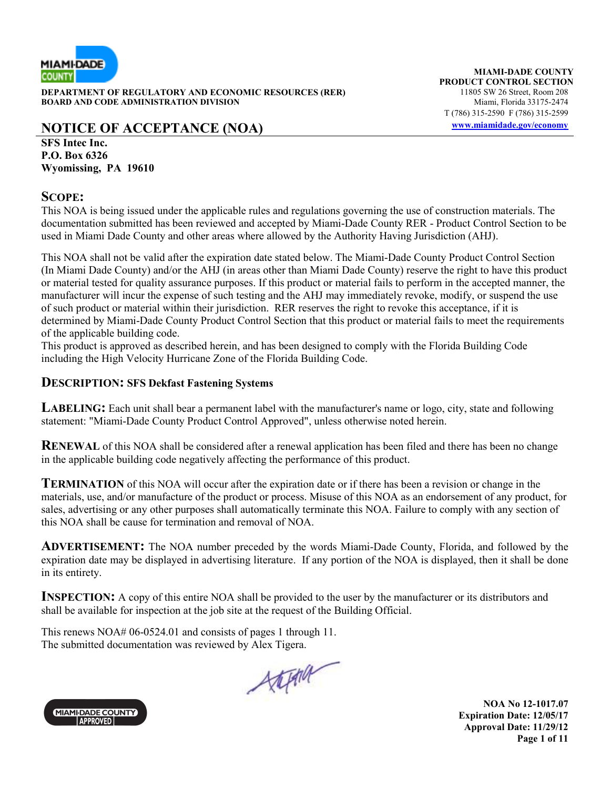

**DEPARTMENT OF REGULATORY AND ECONOMIC RESOURCES (RER)** 11805 SW 26 Street, Room 208<br>**BOARD AND CODE ADMINISTRATION DIVISION** 11805 SW 11805 SW 26 Street, Room 208 **BOARD AND CODE ADMINISTRATION DIVISION** 

# **NOTICE OF ACCEPTANCE (NOA) www.miamidade.gov/economy**

**MIAMI-DADE COUNTY PRODUCT CONTROL SECTION**<br>11805 SW 26 Street, Room 208 T (786) 315-2590 F (786) 315-2599

**SFS Intec Inc. P.O. Box 6326 Wyomissing, PA 19610** 

#### **SCOPE:**

This NOA is being issued under the applicable rules and regulations governing the use of construction materials. The documentation submitted has been reviewed and accepted by Miami-Dade County RER - Product Control Section to be used in Miami Dade County and other areas where allowed by the Authority Having Jurisdiction (AHJ).

This NOA shall not be valid after the expiration date stated below. The Miami-Dade County Product Control Section (In Miami Dade County) and/or the AHJ (in areas other than Miami Dade County) reserve the right to have this product or material tested for quality assurance purposes. If this product or material fails to perform in the accepted manner, the manufacturer will incur the expense of such testing and the AHJ may immediately revoke, modify, or suspend the use of such product or material within their jurisdiction. RER reserves the right to revoke this acceptance, if it is determined by Miami-Dade County Product Control Section that this product or material fails to meet the requirements of the applicable building code.

This product is approved as described herein, and has been designed to comply with the Florida Building Code including the High Velocity Hurricane Zone of the Florida Building Code.

#### **DESCRIPTION: SFS Dekfast Fastening Systems**

**LABELING:** Each unit shall bear a permanent label with the manufacturer's name or logo, city, state and following statement: "Miami-Dade County Product Control Approved", unless otherwise noted herein.

**RENEWAL** of this NOA shall be considered after a renewal application has been filed and there has been no change in the applicable building code negatively affecting the performance of this product.

**TERMINATION** of this NOA will occur after the expiration date or if there has been a revision or change in the materials, use, and/or manufacture of the product or process. Misuse of this NOA as an endorsement of any product, for sales, advertising or any other purposes shall automatically terminate this NOA. Failure to comply with any section of this NOA shall be cause for termination and removal of NOA.

**ADVERTISEMENT:** The NOA number preceded by the words Miami-Dade County, Florida, and followed by the expiration date may be displayed in advertising literature. If any portion of the NOA is displayed, then it shall be done in its entirety.

**INSPECTION:** A copy of this entire NOA shall be provided to the user by the manufacturer or its distributors and shall be available for inspection at the job site at the request of the Building Official.

This renews NOA# 06-0524.01 and consists of pages 1 through 11. The submitted documentation was reviewed by Alex Tigera.

Attend

**MIAMI-DADE COUNTY APPROVED** 

**NOA No 12-1017.07 Expiration Date: 12/05/17 Approval Date: 11/29/12 Page 1 of 11**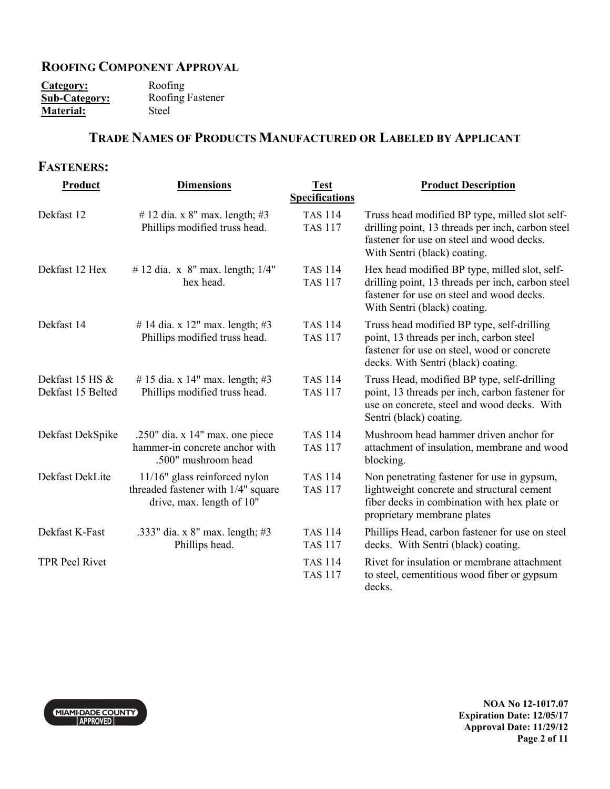## **ROOFING COMPONENT APPROVAL**

| Category:            | Roofing          |
|----------------------|------------------|
| <b>Sub-Category:</b> | Roofing Fastener |
| <b>Material:</b>     | Steel            |

## **TRADE NAMES OF PRODUCTS MANUFACTURED OR LABELED BY APPLICANT**

### **FASTENERS:**

| Product                              | <b>Dimensions</b>                                                                                | <b>Test</b>                      | <b>Product Description</b>                                                                                                                                                       |
|--------------------------------------|--------------------------------------------------------------------------------------------------|----------------------------------|----------------------------------------------------------------------------------------------------------------------------------------------------------------------------------|
|                                      |                                                                                                  | <b>Specifications</b>            |                                                                                                                                                                                  |
| Dekfast 12                           | # 12 dia. x 8" max. length; #3<br>Phillips modified truss head.                                  | <b>TAS 114</b><br><b>TAS 117</b> | Truss head modified BP type, milled slot self-<br>drilling point, 13 threads per inch, carbon steel<br>fastener for use on steel and wood decks.<br>With Sentri (black) coating. |
| Dekfast 12 Hex                       | # 12 dia. x $8''$ max. length; $1/4''$<br>hex head.                                              | <b>TAS 114</b><br><b>TAS 117</b> | Hex head modified BP type, milled slot, self-<br>drilling point, 13 threads per inch, carbon steel<br>fastener for use on steel and wood decks.<br>With Sentri (black) coating.  |
| Dekfast 14                           | # 14 dia. x 12" max. length; #3<br>Phillips modified truss head.                                 | <b>TAS 114</b><br><b>TAS 117</b> | Truss head modified BP type, self-drilling<br>point, 13 threads per inch, carbon steel<br>fastener for use on steel, wood or concrete<br>decks. With Sentri (black) coating.     |
| Dekfast 15 HS &<br>Dekfast 15 Belted | #15 dia. x 14" max. length; #3<br>Phillips modified truss head.                                  | <b>TAS 114</b><br><b>TAS 117</b> | Truss Head, modified BP type, self-drilling<br>point, 13 threads per inch, carbon fastener for<br>use on concrete, steel and wood decks. With<br>Sentri (black) coating.         |
| Dekfast DekSpike                     | .250" dia. $x$ 14" max. one piece<br>hammer-in concrete anchor with<br>.500" mushroom head       | <b>TAS 114</b><br><b>TAS 117</b> | Mushroom head hammer driven anchor for<br>attachment of insulation, membrane and wood<br>blocking.                                                                               |
| Dekfast DekLite                      | 11/16" glass reinforced nylon<br>threaded fastener with 1/4" square<br>drive, max. length of 10" | <b>TAS 114</b><br><b>TAS 117</b> | Non penetrating fastener for use in gypsum,<br>lightweight concrete and structural cement<br>fiber decks in combination with hex plate or<br>proprietary membrane plates         |
| Dekfast K-Fast                       | .333" dia. x 8" max. length; #3<br>Phillips head.                                                | <b>TAS 114</b><br><b>TAS 117</b> | Phillips Head, carbon fastener for use on steel<br>decks. With Sentri (black) coating.                                                                                           |
| <b>TPR Peel Rivet</b>                |                                                                                                  | <b>TAS 114</b><br><b>TAS 117</b> | Rivet for insulation or membrane attachment<br>to steel, cementitious wood fiber or gypsum<br>decks.                                                                             |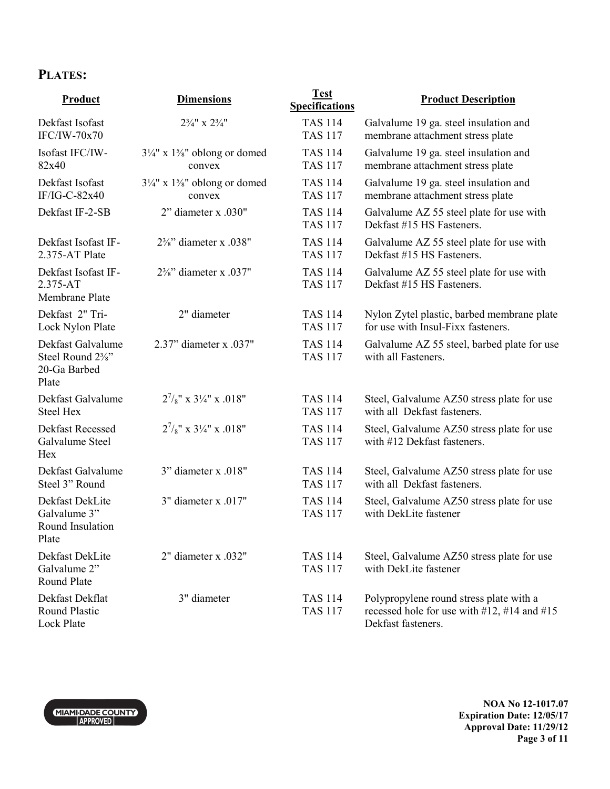# **PLATES:**

| Product                                                                                   | <b>Dimensions</b>                                             | <b>Test</b><br><b>Specifications</b> | <b>Product Description</b>                                                                                       |
|-------------------------------------------------------------------------------------------|---------------------------------------------------------------|--------------------------------------|------------------------------------------------------------------------------------------------------------------|
| Dekfast Isofast<br>$IFC/IW-70x70$                                                         | $2\frac{3}{4}$ " x $2\frac{3}{4}$ "                           | <b>TAS 114</b><br><b>TAS 117</b>     | Galvalume 19 ga. steel insulation and<br>membrane attachment stress plate                                        |
| Isofast IFC/IW-<br>82x40                                                                  | $3\frac{1}{4}$ " x $1\frac{5}{8}$ " oblong or domed<br>convex | <b>TAS 114</b><br><b>TAS 117</b>     | Galvalume 19 ga. steel insulation and<br>membrane attachment stress plate                                        |
| Dekfast Isofast<br>IF/IG-C-82x40                                                          | $3\frac{1}{4}$ " x $1\frac{5}{8}$ " oblong or domed<br>convex | <b>TAS 114</b><br><b>TAS 117</b>     | Galvalume 19 ga. steel insulation and<br>membrane attachment stress plate                                        |
| Dekfast IF-2-SB                                                                           | 2" diameter x .030"                                           | <b>TAS 114</b><br><b>TAS 117</b>     | Galvalume AZ 55 steel plate for use with<br>Dekfast #15 HS Fasteners.                                            |
| Dekfast Isofast IF-<br>2.375-AT Plate                                                     | $2\frac{3}{8}$ " diameter x .038"                             | <b>TAS 114</b><br><b>TAS 117</b>     | Galvalume AZ 55 steel plate for use with<br>Dekfast #15 HS Fasteners.                                            |
| Dekfast Isofast IF-<br>$2.375 - AT$<br>Membrane Plate                                     | $2\frac{3}{8}$ " diameter x .037"                             | <b>TAS 114</b><br><b>TAS 117</b>     | Galvalume AZ 55 steel plate for use with<br>Dekfast #15 HS Fasteners.                                            |
| Dekfast 2" Tri-<br>Lock Nylon Plate                                                       | 2" diameter                                                   | <b>TAS 114</b><br><b>TAS 117</b>     | Nylon Zytel plastic, barbed membrane plate<br>for use with Insul-Fixx fasteners.                                 |
| Dekfast Galvalume<br>Steel Round 2 <sup>3</sup> / <sub>8</sub> "<br>20-Ga Barbed<br>Plate | 2.37" diameter x .037"                                        | <b>TAS 114</b><br><b>TAS 117</b>     | Galvalume AZ 55 steel, barbed plate for use<br>with all Fasteners.                                               |
| Dekfast Galvalume<br><b>Steel Hex</b>                                                     | $2^{7}/8$ " x $3^{1}/4$ " x .018"                             | <b>TAS 114</b><br><b>TAS 117</b>     | Steel, Galvalume AZ50 stress plate for use<br>with all Dekfast fasteners.                                        |
| Dekfast Recessed<br>Galvalume Steel<br>Hex                                                | $2^{7}/8$ " x $3\frac{1}{4}$ " x .018"                        | <b>TAS 114</b><br><b>TAS 117</b>     | Steel, Galvalume AZ50 stress plate for use<br>with #12 Dekfast fasteners.                                        |
| Dekfast Galvalume<br>Steel 3" Round                                                       | 3" diameter x .018"                                           | <b>TAS 114</b><br><b>TAS 117</b>     | Steel, Galvalume AZ50 stress plate for use<br>with all Dekfast fasteners.                                        |
| Dekfast DekLite<br>Galvalume 3"<br>Round Insulation<br>Plate                              | 3" diameter x .017"                                           | <b>TAS 114</b><br><b>TAS 117</b>     | Steel, Galvalume AZ50 stress plate for use<br>with DekLite fastener                                              |
| Dekfast DekLite<br>Galvalume 2"<br>Round Plate                                            | 2" diameter x .032"                                           | <b>TAS 114</b><br><b>TAS 117</b>     | Steel, Galvalume AZ50 stress plate for use<br>with DekLite fastener                                              |
| Dekfast Dekflat<br><b>Round Plastic</b><br>Lock Plate                                     | 3" diameter                                                   | <b>TAS 114</b><br><b>TAS 117</b>     | Polypropylene round stress plate with a<br>recessed hole for use with $#12, #14$ and $#15$<br>Dekfast fasteners. |



**NOA No 12-1017.07 Expiration Date: 12/05/17 Approval Date: 11/29/12 Page 3 of 11**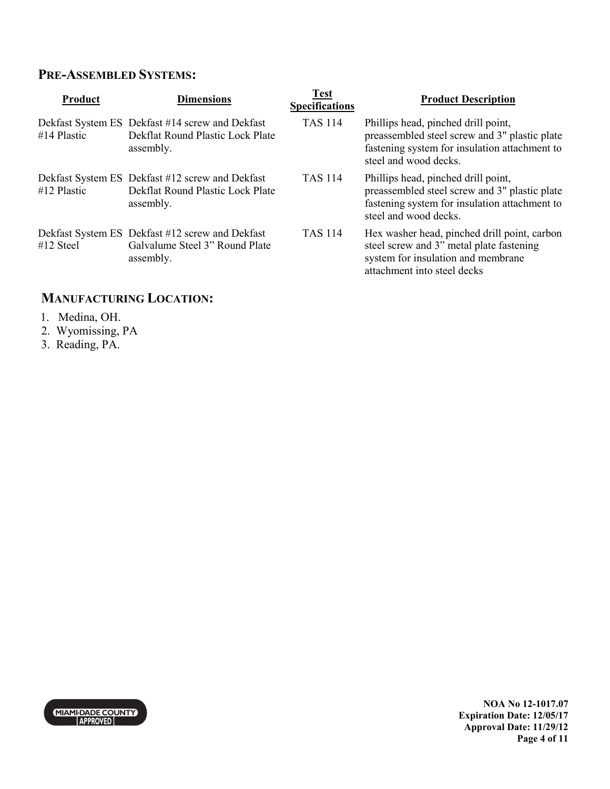## **PRE-ASSEMBLED SYSTEMS:**

| <b>Product</b> | <b>Dimensions</b>                                                                                | <b>Test</b><br><b>Specifications</b> | <b>Product Description</b>                                                                                                                                     |
|----------------|--------------------------------------------------------------------------------------------------|--------------------------------------|----------------------------------------------------------------------------------------------------------------------------------------------------------------|
| $#14$ Plastic  | Dekfast System ES Dekfast #14 screw and Dekfast<br>Dekflat Round Plastic Lock Plate<br>assembly. | <b>TAS 114</b>                       | Phillips head, pinched drill point,<br>preassembled steel screw and 3" plastic plate<br>fastening system for insulation attachment to<br>steel and wood decks. |
| #12 Plastic    | Dekfast System ES Dekfast #12 screw and Dekfast<br>Dekflat Round Plastic Lock Plate<br>assembly. | <b>TAS 114</b>                       | Phillips head, pinched drill point,<br>preassembled steel screw and 3" plastic plate<br>fastening system for insulation attachment to<br>steel and wood decks. |
| $#12$ Steel    | Dekfast System ES Dekfast #12 screw and Dekfast<br>Galvalume Steel 3" Round Plate<br>assembly.   | <b>TAS 114</b>                       | Hex washer head, pinched drill point, carbon<br>steel screw and 3" metal plate fastening<br>system for insulation and membrane<br>attachment into steel decks  |

# **MANUFACTURING LOCATION:**

- 1. Medina, OH.
- 2. Wyomissing, PA
- 3. Reading, PA.



**NOA No 12-1017.07 Expiration Date: 12/05/17 Approval Date: 11/29/12 Page 4 of 11**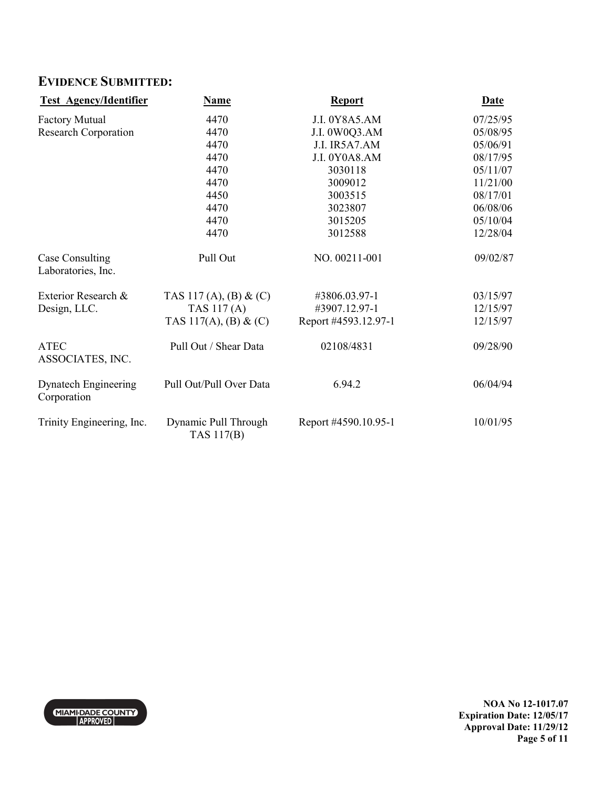# **EVIDENCE SUBMITTED:**

| <b>Test Agency/Identifier</b>                | <b>Name</b>                        | <b>Report</b>        | <b>Date</b> |
|----------------------------------------------|------------------------------------|----------------------|-------------|
| <b>Factory Mutual</b>                        | 4470                               | J.I. 0Y8A5.AM        | 07/25/95    |
| <b>Research Corporation</b>                  | 4470                               | J.I. 0W0Q3.AM        | 05/08/95    |
|                                              | 4470                               | J.I. IR5A7.AM        | 05/06/91    |
|                                              | 4470                               | J.I. 0Y0A8.AM        | 08/17/95    |
|                                              | 4470                               | 3030118              | 05/11/07    |
|                                              | 4470                               | 3009012              | 11/21/00    |
|                                              | 4450                               | 3003515              | 08/17/01    |
|                                              | 4470                               | 3023807              | 06/08/06    |
|                                              | 4470                               | 3015205              | 05/10/04    |
|                                              | 4470                               | 3012588              | 12/28/04    |
| <b>Case Consulting</b><br>Laboratories, Inc. | Pull Out                           | NO. 00211-001        | 09/02/87    |
| Exterior Research &                          | TAS 117 (A), (B) & (C)             | #3806.03.97-1        | 03/15/97    |
| Design, LLC.                                 | TAS 117(A)                         | #3907.12.97-1        | 12/15/97    |
|                                              | TAS 117(A), (B) & (C)              | Report #4593.12.97-1 | 12/15/97    |
| <b>ATEC</b><br>ASSOCIATES, INC.              | Pull Out / Shear Data              | 02108/4831           | 09/28/90    |
| Dynatech Engineering<br>Corporation          | Pull Out/Pull Over Data            | 6.94.2               | 06/04/94    |
| Trinity Engineering, Inc.                    | Dynamic Pull Through<br>TAS 117(B) | Report #4590.10.95-1 | 10/01/95    |



**NOA No 12-1017.07 Expiration Date: 12/05/17 Approval Date: 11/29/12 Page 5 of 11**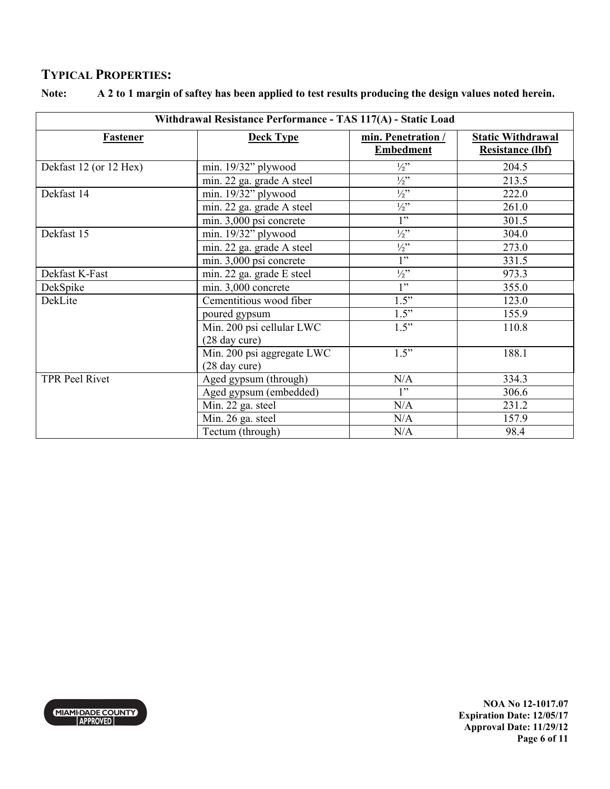## **TYPICAL PROPERTIES:**

| Withdrawal Resistance Performance - TAS 117(A) - Static Load |                            |                                        |                                                     |
|--------------------------------------------------------------|----------------------------|----------------------------------------|-----------------------------------------------------|
| <b>Fastener</b>                                              | <b>Deck Type</b>           | min. Penetration /<br><b>Embedment</b> | <b>Static Withdrawal</b><br><b>Resistance (lbf)</b> |
| Dekfast 12 (or 12 Hex)                                       | min. $19/32$ " plywood     | $\frac{1}{2}$                          | 204.5                                               |
|                                                              | min. 22 ga. grade A steel  | $\frac{1}{2}$                          | 213.5                                               |
| Dekfast 14                                                   | min. 19/32" plywood        | $\frac{1}{2}$                          | 222.0                                               |
|                                                              | min. 22 ga. grade A steel  | $\frac{1}{2}$                          | 261.0                                               |
|                                                              | min. 3,000 psi concrete    | $\overline{1"$                         | 301.5                                               |
| Dekfast 15                                                   | min. $19/32$ " plywood     | $\frac{1}{2}$ "                        | 304.0                                               |
|                                                              | min. 22 ga. grade A steel  | $\frac{1}{2}$ "                        | 273.0                                               |
|                                                              | min. 3,000 psi concrete    | 1"                                     | 331.5                                               |
| Dekfast K-Fast                                               | min. 22 ga. grade E steel  | $\frac{1}{2}$ "                        | 973.3                                               |
| DekSpike                                                     | min. 3,000 concrete        | 1"                                     | 355.0                                               |
| DekLite                                                      | Cementitious wood fiber    | 1.5"                                   | 123.0                                               |
|                                                              | poured gypsum              | 1.5"                                   | 155.9                                               |
|                                                              | Min. 200 psi cellular LWC  | 1.5"                                   | 110.8                                               |
|                                                              | (28 day cure)              |                                        |                                                     |
|                                                              | Min. 200 psi aggregate LWC | 1.5"                                   | 188.1                                               |
|                                                              | (28 day cure)              |                                        |                                                     |
| <b>TPR Peel Rivet</b>                                        | Aged gypsum (through)      | N/A                                    | 334.3                                               |
|                                                              | Aged gypsum (embedded)     | 1"                                     | 306.6                                               |
|                                                              | Min. 22 ga. steel          | N/A                                    | 231.2                                               |
|                                                              | Min. 26 ga. steel          | N/A                                    | 157.9                                               |
|                                                              | Tectum (through)           | N/A                                    | 98.4                                                |

#### **Note: A 2 to 1 margin of saftey has been applied to test results producing the design values noted herein.**



**NOA No 12-1017.07 Expiration Date: 12/05/17 Approval Date: 11/29/12 Page 6 of 11**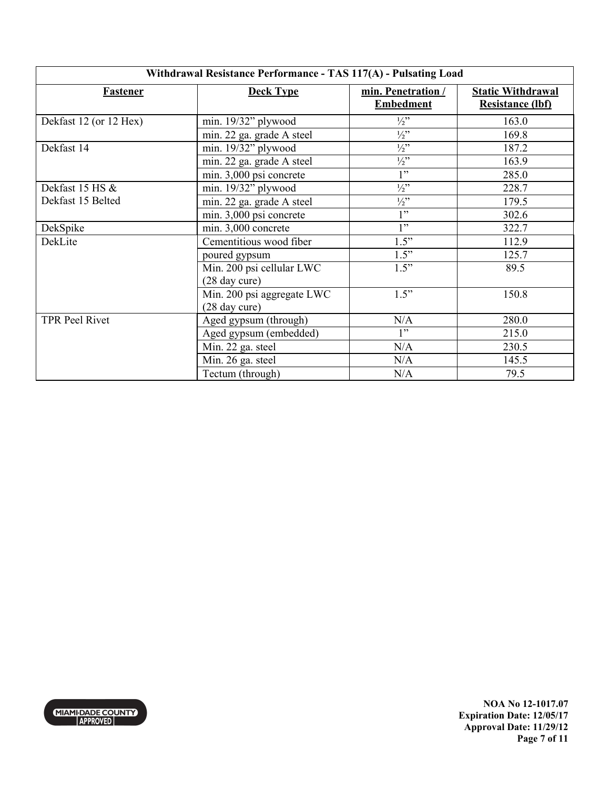| Withdrawal Resistance Performance - TAS 117(A) - Pulsating Load |                                             |                                        |                                                     |
|-----------------------------------------------------------------|---------------------------------------------|----------------------------------------|-----------------------------------------------------|
| Fastener                                                        | <b>Deck Type</b>                            | min. Penetration /<br><b>Embedment</b> | <b>Static Withdrawal</b><br><b>Resistance (lbf)</b> |
| Dekfast 12 (or 12 Hex)                                          | min. $19/32$ " plywood                      | $\frac{1}{2}$ "                        | 163.0                                               |
|                                                                 | min. 22 ga. grade A steel                   | $\frac{1}{2}$ "                        | 169.8                                               |
| Dekfast 14                                                      | min. $19/32$ " plywood                      | $\frac{1}{2}$ "                        | 187.2                                               |
|                                                                 | min. 22 ga. grade A steel                   | $\frac{1}{2}$                          | 163.9                                               |
|                                                                 | min. 3,000 psi concrete                     | 1"                                     | 285.0                                               |
| Dekfast 15 HS &                                                 | min. 19/32" plywood                         | $\frac{1}{2}$ "                        | 228.7                                               |
| Dekfast 15 Belted                                               | min. 22 ga. grade A steel                   | $\frac{1}{2}$                          | 179.5                                               |
|                                                                 | min. 3,000 psi concrete                     | 1"                                     | 302.6                                               |
| DekSpike                                                        | min. 3,000 concrete                         | 1"                                     | 322.7                                               |
| DekLite                                                         | Cementitious wood fiber                     | 1.5"                                   | 112.9                                               |
|                                                                 | poured gypsum                               | 1.5"                                   | 125.7                                               |
|                                                                 | Min. 200 psi cellular LWC<br>(28 day cure)  | 1.5"                                   | 89.5                                                |
|                                                                 | Min. 200 psi aggregate LWC<br>(28 day cure) | 1.5"                                   | 150.8                                               |
| <b>TPR Peel Rivet</b>                                           | Aged gypsum (through)                       | N/A                                    | 280.0                                               |
|                                                                 | Aged gypsum (embedded)                      | 1"                                     | 215.0                                               |
|                                                                 | Min. 22 ga. steel                           | N/A                                    | 230.5                                               |
|                                                                 | Min. 26 ga. steel                           | N/A                                    | 145.5                                               |
|                                                                 | Tectum (through)                            | N/A                                    | 79.5                                                |



**NOA No 12-1017.07 Expiration Date: 12/05/17 Approval Date: 11/29/12 Page 7 of 11**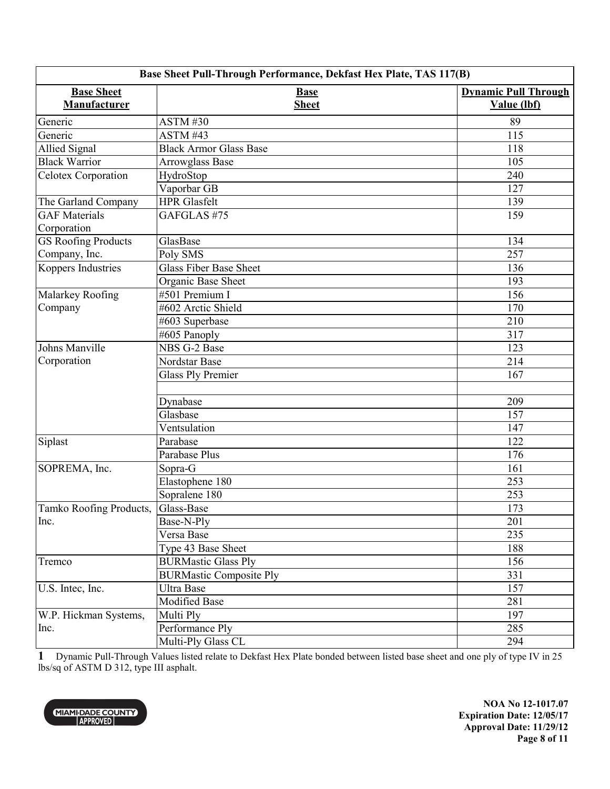| Base Sheet Pull-Through Performance, Dekfast Hex Plate, TAS 117(B) |                                |                                            |
|--------------------------------------------------------------------|--------------------------------|--------------------------------------------|
| <b>Base Sheet</b><br>Manufacturer                                  | <b>Base</b><br><b>Sheet</b>    | <b>Dynamic Pull Through</b><br>Value (lbf) |
| Generic                                                            | <b>ASTM#30</b>                 | 89                                         |
| Generic                                                            | ASTM#43                        | 115                                        |
| <b>Allied Signal</b>                                               | <b>Black Armor Glass Base</b>  | 118                                        |
| <b>Black Warrior</b>                                               | Arrowglass Base                | 105                                        |
| Celotex Corporation                                                | HydroStop                      | 240                                        |
|                                                                    | Vaporbar GB                    | 127                                        |
| The Garland Company                                                | <b>HPR</b> Glasfelt            | 139                                        |
| <b>GAF</b> Materials                                               | GAFGLAS #75                    | 159                                        |
| Corporation                                                        |                                |                                            |
| <b>GS Roofing Products</b>                                         | GlasBase                       | 134                                        |
| Company, Inc.                                                      | Poly SMS                       | 257                                        |
| Koppers Industries                                                 | <b>Glass Fiber Base Sheet</b>  | 136                                        |
|                                                                    | Organic Base Sheet             | 193                                        |
| Malarkey Roofing                                                   | #501 Premium I                 | 156                                        |
| Company                                                            | #602 Arctic Shield             | 170                                        |
|                                                                    | #603 Superbase                 | 210                                        |
|                                                                    | #605 Panoply                   | 317                                        |
| Johns Manville                                                     | NBS G-2 Base                   | 123                                        |
| Corporation                                                        | Nordstar Base                  | 214                                        |
|                                                                    | <b>Glass Ply Premier</b>       | 167                                        |
|                                                                    |                                |                                            |
|                                                                    | Dynabase                       | 209                                        |
|                                                                    | Glasbase                       | 157                                        |
|                                                                    | Ventsulation                   | 147                                        |
| Siplast                                                            | Parabase                       | 122                                        |
|                                                                    | Parabase Plus                  | 176                                        |
| SOPREMA, Inc.                                                      | Sopra-G                        | 161                                        |
|                                                                    | Elastophene 180                | 253                                        |
|                                                                    | Sopralene 180                  | 253                                        |
| Tamko Roofing Products,                                            | Glass-Base                     | 173                                        |
| Inc.                                                               | Base-N-Ply                     | 201                                        |
|                                                                    | Versa Base                     | 235                                        |
|                                                                    | Type 43 Base Sheet             | 188                                        |
| Tremco                                                             | <b>BURMastic Glass Ply</b>     | 156                                        |
|                                                                    | <b>BURMastic Composite Ply</b> | 331                                        |
| U.S. Intec, Inc.                                                   | <b>Ultra Base</b>              | 157                                        |
|                                                                    | <b>Modified Base</b>           | 281                                        |
| W.P. Hickman Systems,                                              | Multi Ply                      | 197                                        |
| Inc.                                                               | Performance Ply                | 285                                        |
|                                                                    | Multi-Ply Glass CL             | 294                                        |

**1** Dynamic Pull-Through Values listed relate to Dekfast Hex Plate bonded between listed base sheet and one ply of type IV in 25 lbs/sq of ASTM D 312, type III asphalt.



**NOA No 12-1017.07 Expiration Date: 12/05/17 Approval Date: 11/29/12 Page 8 of 11**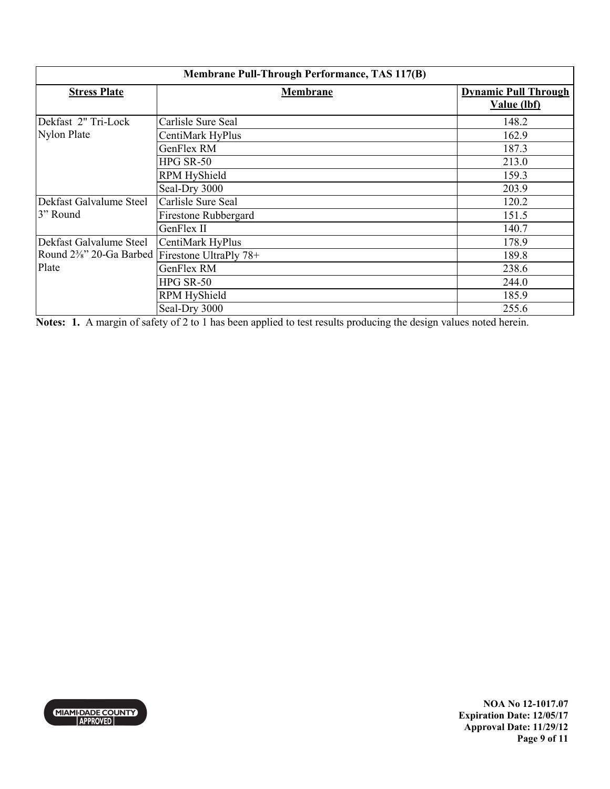| Membrane Pull-Through Performance, TAS 117(B)                               |                      |                                            |
|-----------------------------------------------------------------------------|----------------------|--------------------------------------------|
| <b>Stress Plate</b>                                                         | Membrane             | <b>Dynamic Pull Through</b><br>Value (lbf) |
|                                                                             |                      |                                            |
| Dekfast 2" Tri-Lock                                                         | Carlisle Sure Seal   | 148.2                                      |
| Nylon Plate                                                                 | CentiMark HyPlus     | 162.9                                      |
|                                                                             | GenFlex RM           | 187.3                                      |
|                                                                             | HPG SR-50            | 213.0                                      |
|                                                                             | <b>RPM HyShield</b>  | 159.3                                      |
|                                                                             | Seal-Dry 3000        | 203.9                                      |
| Dekfast Galvalume Steel                                                     | Carlisle Sure Seal   | 120.2                                      |
| 3" Round                                                                    | Firestone Rubbergard | 151.5                                      |
|                                                                             | GenFlex II           | 140.7                                      |
| Dekfast Galvalume Steel                                                     | CentiMark HyPlus     | 178.9                                      |
| Round 2 <sup>3</sup> / <sub>8</sub> " 20-Ga Barbed   Firestone UltraPly 78+ |                      | 189.8                                      |
| Plate                                                                       | GenFlex RM           | 238.6                                      |
|                                                                             | HPG SR-50            | 244.0                                      |
|                                                                             | <b>RPM HyShield</b>  | 185.9                                      |
|                                                                             | Seal-Dry 3000        | 255.6                                      |

**Notes: 1.** A margin of safety of 2 to 1 has been applied to test results producing the design values noted herein.



**NOA No 12-1017.07 Expiration Date: 12/05/17 Approval Date: 11/29/12 Page 9 of 11**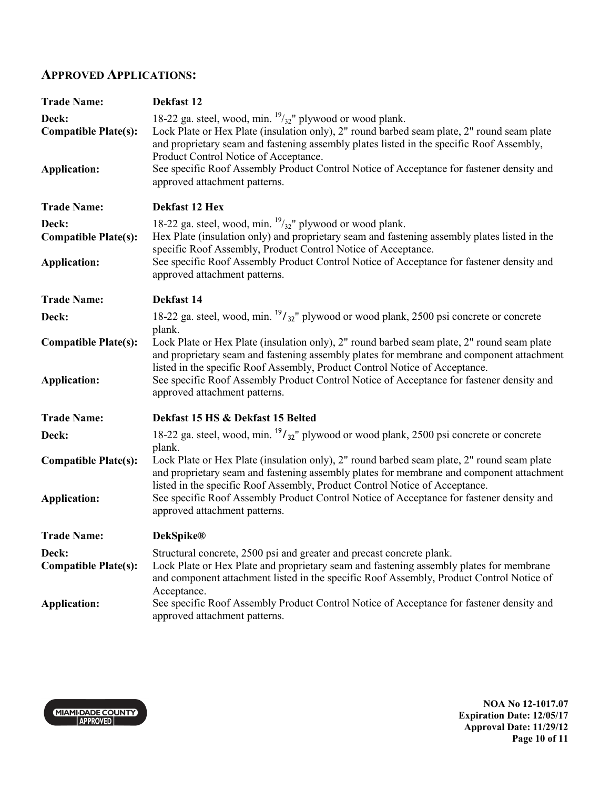### **APPROVED APPLICATIONS:**

| <b>Trade Name:</b>                   | Dekfast 12                                                                                                                                                                                                                                                                                              |
|--------------------------------------|---------------------------------------------------------------------------------------------------------------------------------------------------------------------------------------------------------------------------------------------------------------------------------------------------------|
| Deck:<br><b>Compatible Plate(s):</b> | 18-22 ga. steel, wood, min. $\frac{19}{32}$ " plywood or wood plank.<br>Lock Plate or Hex Plate (insulation only), 2" round barbed seam plate, 2" round seam plate<br>and proprietary seam and fastening assembly plates listed in the specific Roof Assembly,<br>Product Control Notice of Acceptance. |
| <b>Application:</b>                  | See specific Roof Assembly Product Control Notice of Acceptance for fastener density and<br>approved attachment patterns.                                                                                                                                                                               |
| <b>Trade Name:</b>                   | Dekfast 12 Hex                                                                                                                                                                                                                                                                                          |
| Deck:                                | 18-22 ga. steel, wood, min. $\frac{19}{32}$ " plywood or wood plank.                                                                                                                                                                                                                                    |
| <b>Compatible Plate(s):</b>          | Hex Plate (insulation only) and proprietary seam and fastening assembly plates listed in the<br>specific Roof Assembly, Product Control Notice of Acceptance.                                                                                                                                           |
| <b>Application:</b>                  | See specific Roof Assembly Product Control Notice of Acceptance for fastener density and<br>approved attachment patterns.                                                                                                                                                                               |
| <b>Trade Name:</b>                   | Dekfast 14                                                                                                                                                                                                                                                                                              |
| Deck:                                | 18-22 ga. steel, wood, min. $\frac{19}{32}$ " plywood or wood plank, 2500 psi concrete or concrete                                                                                                                                                                                                      |
| <b>Compatible Plate(s):</b>          | plank.<br>Lock Plate or Hex Plate (insulation only), 2" round barbed seam plate, 2" round seam plate<br>and proprietary seam and fastening assembly plates for membrane and component attachment                                                                                                        |
| <b>Application:</b>                  | listed in the specific Roof Assembly, Product Control Notice of Acceptance.<br>See specific Roof Assembly Product Control Notice of Acceptance for fastener density and<br>approved attachment patterns.                                                                                                |
| <b>Trade Name:</b>                   | Dekfast 15 HS & Dekfast 15 Belted                                                                                                                                                                                                                                                                       |
| Deck:                                | 18-22 ga. steel, wood, min. $\frac{19}{32}$ " plywood or wood plank, 2500 psi concrete or concrete                                                                                                                                                                                                      |
| <b>Compatible Plate(s):</b>          | plank.<br>Lock Plate or Hex Plate (insulation only), 2" round barbed seam plate, 2" round seam plate<br>and proprietary seam and fastening assembly plates for membrane and component attachment                                                                                                        |
| <b>Application:</b>                  | listed in the specific Roof Assembly, Product Control Notice of Acceptance.<br>See specific Roof Assembly Product Control Notice of Acceptance for fastener density and<br>approved attachment patterns.                                                                                                |
| <b>Trade Name:</b>                   | <b>DekSpike®</b>                                                                                                                                                                                                                                                                                        |
| Deck:                                | Structural concrete, 2500 psi and greater and precast concrete plank.                                                                                                                                                                                                                                   |
| <b>Compatible Plate(s):</b>          | Lock Plate or Hex Plate and proprietary seam and fastening assembly plates for membrane<br>and component attachment listed in the specific Roof Assembly, Product Control Notice of<br>Acceptance.                                                                                                      |
| <b>Application:</b>                  | See specific Roof Assembly Product Control Notice of Acceptance for fastener density and<br>approved attachment patterns.                                                                                                                                                                               |

MIAMI-DADE COUNTY